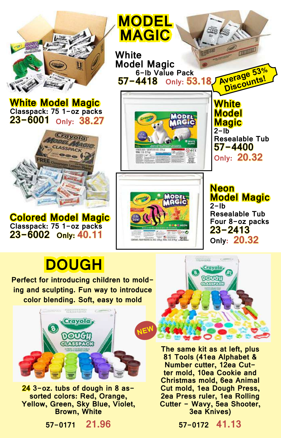

**White Model Magic Classpack: 75 1-oz packs 23-6001 Only: 38.27**



**Colored Model Magic Classpack: 75 1-oz packs 23-6002 Only: 40.11**



art. foot rooms 6. 802 (2364), 1004; 218 (0.964) . 2010 and

**Model Magic Resealable Tub Four 8-oz packs 23-2413 Only: 20.32**

## **DOUGH**

**Perfect for introducing children to molding and sculpting. Fun way to introduce color blending. Soft, easy to mold**



**24 3-oz. tubs of dough in 8 as- sorted colors: Red, Orange, Yellow, Green, Sky Blue, Violet, Brown, White**





**The same kit as at left, plus 81 Tools (41ea Alphabet & ter mold, 10ea Cookie and Christmas mold, 6ea Animal Cut mold, 1ea Dough Press, 2ea Press ruler, 1ea Rolling Cutter - Wavy, 5ea Shooter, 3ea Knives)**

**57-0172 41.13**